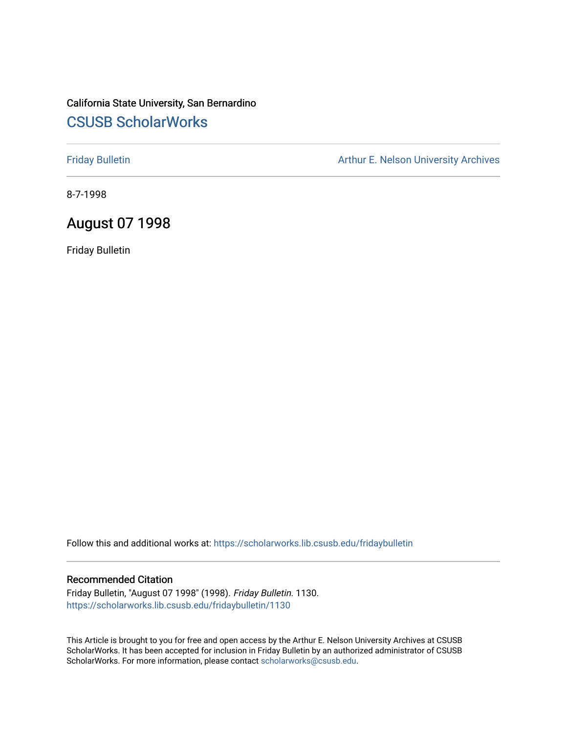## California State University, San Bernardino [CSUSB ScholarWorks](https://scholarworks.lib.csusb.edu/)

[Friday Bulletin](https://scholarworks.lib.csusb.edu/fridaybulletin) **Arthur E. Nelson University Archives** Arthur E. Nelson University Archives

8-7-1998

### August 07 1998

Friday Bulletin

Follow this and additional works at: [https://scholarworks.lib.csusb.edu/fridaybulletin](https://scholarworks.lib.csusb.edu/fridaybulletin?utm_source=scholarworks.lib.csusb.edu%2Ffridaybulletin%2F1130&utm_medium=PDF&utm_campaign=PDFCoverPages)

#### Recommended Citation

Friday Bulletin, "August 07 1998" (1998). Friday Bulletin. 1130. [https://scholarworks.lib.csusb.edu/fridaybulletin/1130](https://scholarworks.lib.csusb.edu/fridaybulletin/1130?utm_source=scholarworks.lib.csusb.edu%2Ffridaybulletin%2F1130&utm_medium=PDF&utm_campaign=PDFCoverPages) 

This Article is brought to you for free and open access by the Arthur E. Nelson University Archives at CSUSB ScholarWorks. It has been accepted for inclusion in Friday Bulletin by an authorized administrator of CSUSB ScholarWorks. For more information, please contact [scholarworks@csusb.edu.](mailto:scholarworks@csusb.edu)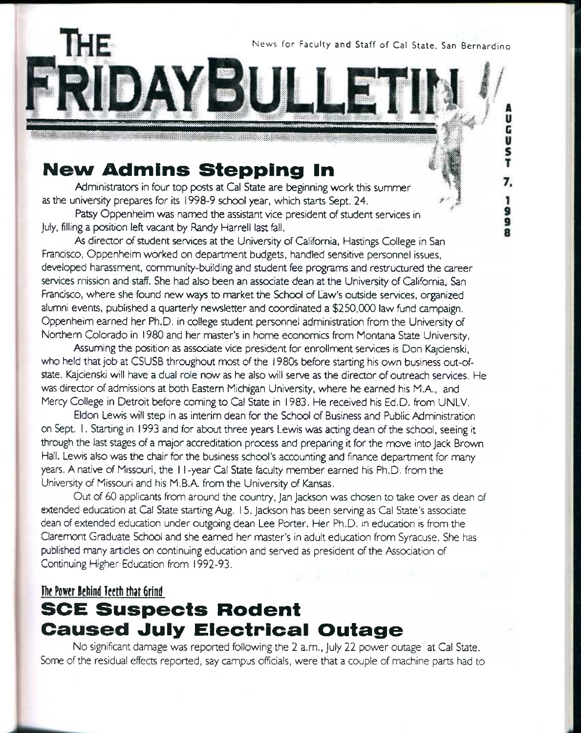News for Faculty and Staff of Cal State, San Bernardino

ũ<br>G

u<br>S<br>T

7,

ر<br>و

# **New Admins Stepping In**

Administrators in four top posts at Cal State are beginning work this summer as the university prepares for its 1998-9 school year, which starts Sept. 24.

Patsy Oppenheim was named the assistant vice president of student services in July, filling a position left vacant by Bandy Harreli last fell.

As director of student services at the University of California, Hastings College in San Francisco, Oppenheim worked on department budgets, handled sensitive personnel issues, developed harassment, community-building and student fee programs and restructured the career services mission and staff. She had also been an associate dean at the University of California, San Francisco, where she found new ways to market the School of Law's outside services, organized alumni events, published a quarterly newsletter and coordinated a \$250,000 law fund campaign. Oppenheim earned her Ph.D. in college student personnel administration from the University of Northern Colorado in 1980 and her master's in home economics from Montana State University.

IDAYBULLET

Assuming the position as associate vice president for enrollment services is Don Kajcienski, who held that job at CSUSB throughout most of the 1980s before starting his own business out-ofstate. Kajcienski will have a dual role now as he also will serve as the director of outreach services. He was director of admissions at both Eastern Michigan University, where he earned his M.A., and Mercy College in Detroit before coming to Cal State in 1983. He received his Ed.D, from UNLV.

Eldon Lewis will step in as interim dean for the School of Business and Public Administration on Sept. 1. Starting in 1993 and for about three years Lewis was acting dean of the school, seeing it through the last stages of a major accreditation process and preparing it for the move into Jack Brown Hall. Lewis also was the chair for the business school's accounting and finance department for many years. A native of Missouri, the I I -year Cal State feculty member earned his Ph.D. from the University of Missouri and his M.B.A. from the University of Kansas.

Out of 60 applicants from around the country, Jan Jackson was chosen to take over as dean of extended education at Cal State starting Aug. 15. Jackson has been serving as Cal State's associate dean of extended education under outgoing dean Lee Porter. Her Ph.D. in education is from the Claremont Graduate School and she earned her master's in adult education from Syracuse. She has published many articles on continuing education and served as president of the Association of Continuing Higher Education from 1992-93.

#### **The Power Behind Teeth that Grind**

## **SCE Suspects Rodent Caused July Electrical Outage**

No significant damage was reported following the 2 a.m., July 22 power outage at Cal State. Some of the residual effects reported, say campus officials, were that a couple of machine parts had to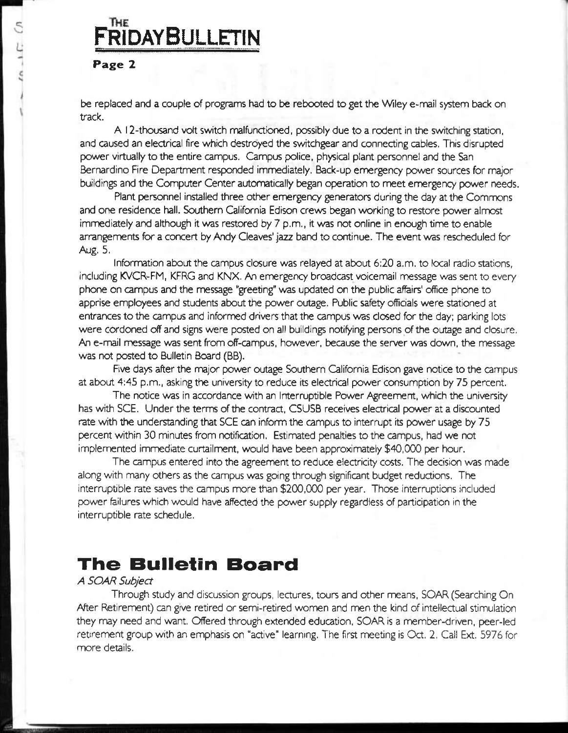## THE **FRIDAYBULLETIN**

#### **Page 2**

be replaced and a couple of programs had to be rebooted to get the Wiley e-mail system back on track.

A 12-thousand voft switch malfunctioned, possibly due to a rodent in the switching station, and caused an electrical fire which destroyed the switchgear and connecting cables. This disrupted power virtually to the entire campus. Campus police, physical plant personnel and the San Bernardino Fire Department responded imnnediately. Back-up emergency power sources for major buildings and the Computer Center automatically began operation to meet emergency power needs.

Plant personnel installed three other emergency generators during the day at the Commons and one residence hall. Southern California Edison crews began working to restore power almost immediately and although it was restored by 7 p.m., it was not online in enough time to enable arrangements for a concert by Andy Cleaves' jazz band to continue. The event was rescheduled for Aug. 5.

Information about the campus closure was relayed at about 6:20 a.m. to local radio stations, including KVCR-FM, KFRG and KNX. An emergency broadcast voicemail message was sent to every phone on campus and the message "greeting" was updated on the public affeirs' office phone to apprise employees and students about the power outage. Public safety officials were stationed at entrances to the campus and informed drivers that the campus was closed for the day; parking lots were cordoned off and signs were posted on all buildings notifying persons of the outage and closure. An e-mail message was sent from off-campus, however, because the server was down, the message was not posted to Bulletin Board (BB).

Five days after the major power outage Southern California Edison gave notice to the campus at about 4:45 p.m., asking the university to reduce its electrical power consumption by 75 percent.

The notice was in accordance with an Interruptible Power Agreement, which the university has with SCE. Under the terms of the contract, CSUSB receives electrical power at a discounted rate with the understanding that SCE can inform the campus to interrupt its power usage by 75 percent within 30 minutes from notification. Estimated penalties to the campus, had *we* not implemented immediate curtailment, would have been approximately \$40,000 per hour.

The campus entered into the agreement to reduce electricity costs. The decision was made along with many others as the campus was going through significant budget reductions. The interruptible rate saves the campus more than \$200,000 per year. Those interruptions included power failures which would have affected the power supply regardless of participation in the interruptible rate schedule.

## **The Bulletin Board**

#### *A SOAR Subject*

Through study and discussion groups, lectures, tours and other means, SOAR (Searching On After Retirement) can give retired or semi-retired women and men the kind of intellectual stimulation they may need and v^ant. Offered through extended education, SOAR is a member-driven, peer-led retirement group with an emphasis on "active" learning. The first meeting is Oct. 2. Call Ext. 5976 for more details.